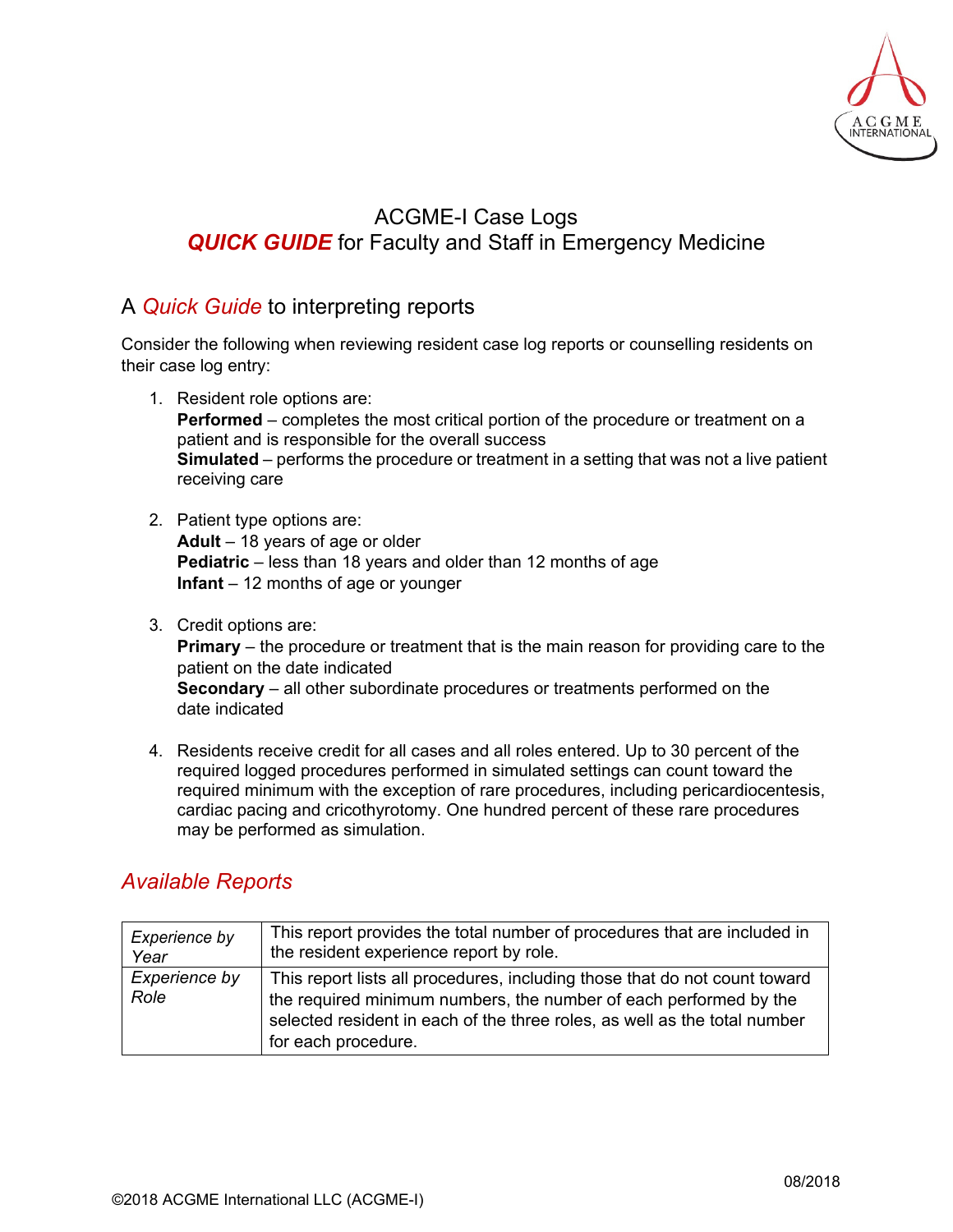

## ACGME-I Case Logs **QUICK GUIDE** for Faculty and Staff in Emergency Medicine

## A *Quick Guide* to interpreting reports

Consider the following when reviewing resident case log reports or counselling residents on their case log entry:

- 1. Resident role options are: **Performed** – completes the most critical portion of the procedure or treatment on a patient and is responsible for the overall success **Simulated** – performs the procedure or treatment in a setting that was not a live patient receiving care
- 2. Patient type options are: **Adult** – 18 years of age or older **Pediatric** – less than 18 years and older than 12 months of age **Infant** – 12 months of age or younger
- 3. Credit options are: **Primary** – the procedure or treatment that is the main reason for providing care to the patient on the date indicated **Secondary** – all other subordinate procedures or treatments performed on the date indicated
- 4. Residents receive credit for all cases and all roles entered. Up to 30 percent of the required logged procedures performed in simulated settings can count toward the required minimum with the exception of rare procedures, including pericardiocentesis, cardiac pacing and cricothyrotomy. One hundred percent of these rare procedures may be performed as simulation.

## *Available Reports*

| Experience by         | This report provides the total number of procedures that are included in                                                                                                                                                                            |
|-----------------------|-----------------------------------------------------------------------------------------------------------------------------------------------------------------------------------------------------------------------------------------------------|
| Year                  | the resident experience report by role.                                                                                                                                                                                                             |
| Experience by<br>Role | This report lists all procedures, including those that do not count toward<br>the required minimum numbers, the number of each performed by the<br>selected resident in each of the three roles, as well as the total number<br>for each procedure. |